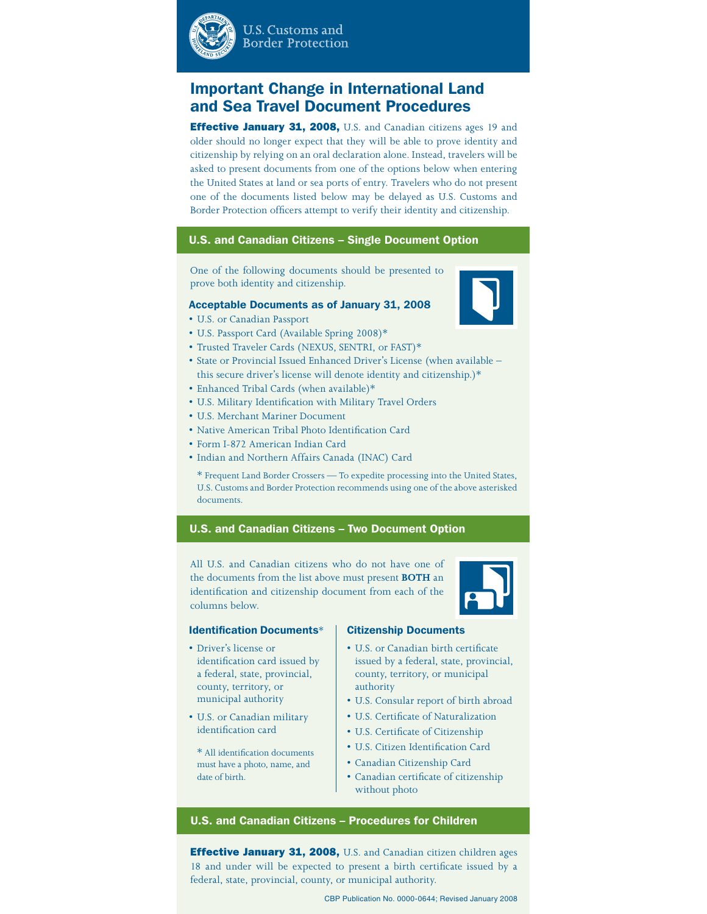

**U.S. Customs and Border Protection** 

# Important Change in International Land and Sea Travel Document Procedures

**Effective January 31, 2008,** U.S. and Canadian citizens ages 19 and older should no longer expect that they will be able to prove identity and citizenship by relying on an oral declaration alone. Instead, travelers will be asked to present documents from one of the options below when entering the United States at land or sea ports of entry. Travelers who do not present one of the documents listed below may be delayed as U.S. Customs and Border Protection officers attempt to verify their identity and citizenship.

## U.S. and Canadian Citizens – Single Document Option

One of the following documents should be presented to prove both identity and citizenship.

#### Acceptable Documents as of January 31, 2008

- U.S. or Canadian Passport
- U.S. Passport Card (Available Spring 2008)\*
- Trusted Traveler Cards (NEXUS, SENTRI, or FAST)\*
- State or Provincial Issued Enhanced Driver's License (when available this secure driver's license will denote identity and citizenship.)\*
- Enhanced Tribal Cards (when available)\*
- U.S. Military Identification with Military Travel Orders
- U.S. Merchant Mariner Document
- Native American Tribal Photo Identification Card
- Form I-872 American Indian Card
- Indian and Northern Affairs Canada (INAC) Card

\* Frequent Land Border Crossers — To expedite processing into the United States, U.S. Customs and Border Protection recommends using one of the above asterisked documents.

## U.S. and Canadian Citizens – Two Document Option

All U.S. and Canadian citizens who do not have one of the documents from the list above must present **BOTH** an identification and citizenship document from each of the columns below.



#### Identification Documents\*

- Driver's license or identification card issued by a federal, state, provincial, county, territory, or municipal authority
- U.S. or Canadian military identification card
	- \* All identification documents must have a photo, name, and date of birth.

### Citizenship Documents

- U.S. or Canadian birth certificate issued by a federal, state, provincial, county, territory, or municipal authority
- U.S. Consular report of birth abroad
- U.S. Certificate of Naturalization
- U.S. Certificate of Citizenship
- U.S. Citizen Identification Card
- Canadian Citizenship Card
- Canadian certificate of citizenship without photo

## U.S. and Canadian Citizens – Procedures for Children

**Effective January 31, 2008, U.S. and Canadian citizen children ages** 18 and under will be expected to present a birth certificate issued by a federal, state, provincial, county, or municipal authority.